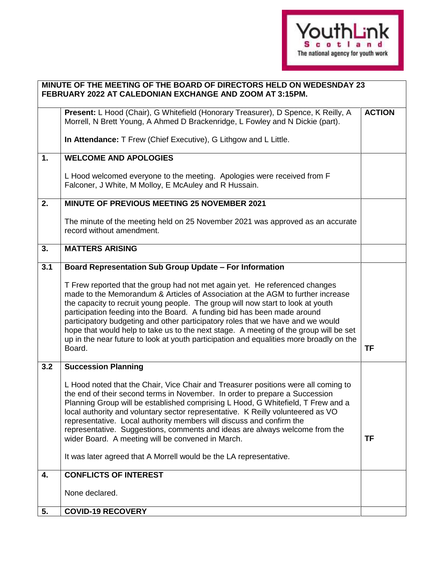

|     | MINUTE OF THE MEETING OF THE BOARD OF DIRECTORS HELD ON WEDESNDAY 23<br>FEBRUARY 2022 AT CALEDONIAN EXCHANGE AND ZOOM AT 3:15PM.                                                                                                                                                                                                                                                                                                                                                                                                                                                                               |               |  |
|-----|----------------------------------------------------------------------------------------------------------------------------------------------------------------------------------------------------------------------------------------------------------------------------------------------------------------------------------------------------------------------------------------------------------------------------------------------------------------------------------------------------------------------------------------------------------------------------------------------------------------|---------------|--|
|     | Present: L Hood (Chair), G Whitefield (Honorary Treasurer), D Spence, K Reilly, A<br>Morrell, N Brett Young, A Ahmed D Brackenridge, L Fowley and N Dickie (part).                                                                                                                                                                                                                                                                                                                                                                                                                                             | <b>ACTION</b> |  |
|     | In Attendance: T Frew (Chief Executive), G Lithgow and L Little.                                                                                                                                                                                                                                                                                                                                                                                                                                                                                                                                               |               |  |
| 1.  | <b>WELCOME AND APOLOGIES</b>                                                                                                                                                                                                                                                                                                                                                                                                                                                                                                                                                                                   |               |  |
|     | L Hood welcomed everyone to the meeting. Apologies were received from F<br>Falconer, J White, M Molloy, E McAuley and R Hussain.                                                                                                                                                                                                                                                                                                                                                                                                                                                                               |               |  |
| 2.  | MINUTE OF PREVIOUS MEETING 25 NOVEMBER 2021                                                                                                                                                                                                                                                                                                                                                                                                                                                                                                                                                                    |               |  |
|     | The minute of the meeting held on 25 November 2021 was approved as an accurate<br>record without amendment.                                                                                                                                                                                                                                                                                                                                                                                                                                                                                                    |               |  |
| 3.  | <b>MATTERS ARISING</b>                                                                                                                                                                                                                                                                                                                                                                                                                                                                                                                                                                                         |               |  |
| 3.1 | Board Representation Sub Group Update - For Information                                                                                                                                                                                                                                                                                                                                                                                                                                                                                                                                                        |               |  |
|     | T Frew reported that the group had not met again yet. He referenced changes<br>made to the Memorandum & Articles of Association at the AGM to further increase<br>the capacity to recruit young people. The group will now start to look at youth<br>participation feeding into the Board. A funding bid has been made around<br>participatory budgeting and other participatory roles that we have and we would<br>hope that would help to take us to the next stage. A meeting of the group will be set<br>up in the near future to look at youth participation and equalities more broadly on the<br>Board. | TF            |  |
| 3.2 | <b>Succession Planning</b>                                                                                                                                                                                                                                                                                                                                                                                                                                                                                                                                                                                     |               |  |
|     | L Hood noted that the Chair, Vice Chair and Treasurer positions were all coming to<br>the end of their second terms in November. In order to prepare a Succession<br>Planning Group will be established comprising L Hood, G Whitefield, T Frew and a<br>local authority and voluntary sector representative. K Reilly volunteered as VO<br>representative. Local authority members will discuss and confirm the<br>representative. Suggestions, comments and ideas are always welcome from the<br>wider Board. A meeting will be convened in March.                                                           | TF            |  |
|     | It was later agreed that A Morrell would be the LA representative.                                                                                                                                                                                                                                                                                                                                                                                                                                                                                                                                             |               |  |
| 4.  | <b>CONFLICTS OF INTEREST</b>                                                                                                                                                                                                                                                                                                                                                                                                                                                                                                                                                                                   |               |  |
|     | None declared.                                                                                                                                                                                                                                                                                                                                                                                                                                                                                                                                                                                                 |               |  |
| 5.  | <b>COVID-19 RECOVERY</b>                                                                                                                                                                                                                                                                                                                                                                                                                                                                                                                                                                                       |               |  |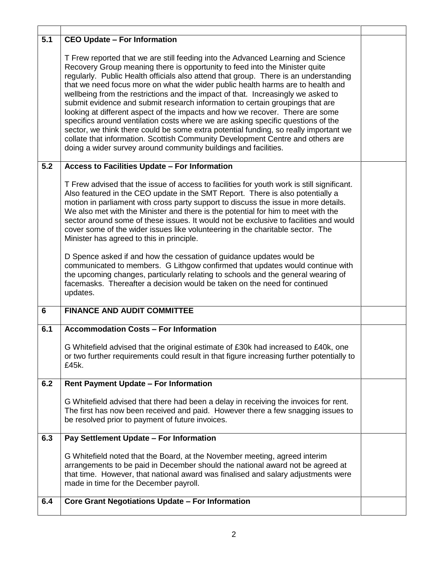| 5.1            | <b>CEO Update - For Information</b>                                                                                                                                                                                                                                                                                                                                                                                                                                                                                                                                                                                                                                                                                                                                                                                                                                                                                               |  |
|----------------|-----------------------------------------------------------------------------------------------------------------------------------------------------------------------------------------------------------------------------------------------------------------------------------------------------------------------------------------------------------------------------------------------------------------------------------------------------------------------------------------------------------------------------------------------------------------------------------------------------------------------------------------------------------------------------------------------------------------------------------------------------------------------------------------------------------------------------------------------------------------------------------------------------------------------------------|--|
|                | T Frew reported that we are still feeding into the Advanced Learning and Science<br>Recovery Group meaning there is opportunity to feed into the Minister quite<br>regularly. Public Health officials also attend that group. There is an understanding<br>that we need focus more on what the wider public health harms are to health and<br>wellbeing from the restrictions and the impact of that. Increasingly we asked to<br>submit evidence and submit research information to certain groupings that are<br>looking at different aspect of the impacts and how we recover. There are some<br>specifics around ventilation costs where we are asking specific questions of the<br>sector, we think there could be some extra potential funding, so really important we<br>collate that information. Scottish Community Development Centre and others are<br>doing a wider survey around community buildings and facilities. |  |
| 5.2            | Access to Facilities Update - For Information                                                                                                                                                                                                                                                                                                                                                                                                                                                                                                                                                                                                                                                                                                                                                                                                                                                                                     |  |
|                | T Frew advised that the issue of access to facilities for youth work is still significant.<br>Also featured in the CEO update in the SMT Report. There is also potentially a<br>motion in parliament with cross party support to discuss the issue in more details.<br>We also met with the Minister and there is the potential for him to meet with the<br>sector around some of these issues. It would not be exclusive to facilities and would<br>cover some of the wider issues like volunteering in the charitable sector. The<br>Minister has agreed to this in principle.<br>D Spence asked if and how the cessation of guidance updates would be<br>communicated to members. G Lithgow confirmed that updates would continue with                                                                                                                                                                                         |  |
|                | the upcoming changes, particularly relating to schools and the general wearing of<br>facemasks. Thereafter a decision would be taken on the need for continued<br>updates.                                                                                                                                                                                                                                                                                                                                                                                                                                                                                                                                                                                                                                                                                                                                                        |  |
| $6\phantom{1}$ | <b>FINANCE AND AUDIT COMMITTEE</b>                                                                                                                                                                                                                                                                                                                                                                                                                                                                                                                                                                                                                                                                                                                                                                                                                                                                                                |  |
| 6.1            | <b>Accommodation Costs - For Information</b>                                                                                                                                                                                                                                                                                                                                                                                                                                                                                                                                                                                                                                                                                                                                                                                                                                                                                      |  |
|                | G Whitefield advised that the original estimate of £30k had increased to £40k, one<br>or two further requirements could result in that figure increasing further potentially to<br>£45k.                                                                                                                                                                                                                                                                                                                                                                                                                                                                                                                                                                                                                                                                                                                                          |  |
| 6.2            | <b>Rent Payment Update - For Information</b>                                                                                                                                                                                                                                                                                                                                                                                                                                                                                                                                                                                                                                                                                                                                                                                                                                                                                      |  |
|                | G Whitefield advised that there had been a delay in receiving the invoices for rent.<br>The first has now been received and paid. However there a few snagging issues to<br>be resolved prior to payment of future invoices.                                                                                                                                                                                                                                                                                                                                                                                                                                                                                                                                                                                                                                                                                                      |  |
| 6.3            | Pay Settlement Update - For Information                                                                                                                                                                                                                                                                                                                                                                                                                                                                                                                                                                                                                                                                                                                                                                                                                                                                                           |  |
|                | G Whitefield noted that the Board, at the November meeting, agreed interim<br>arrangements to be paid in December should the national award not be agreed at<br>that time. However, that national award was finalised and salary adjustments were<br>made in time for the December payroll.                                                                                                                                                                                                                                                                                                                                                                                                                                                                                                                                                                                                                                       |  |
| 6.4            | <b>Core Grant Negotiations Update - For Information</b>                                                                                                                                                                                                                                                                                                                                                                                                                                                                                                                                                                                                                                                                                                                                                                                                                                                                           |  |
|                |                                                                                                                                                                                                                                                                                                                                                                                                                                                                                                                                                                                                                                                                                                                                                                                                                                                                                                                                   |  |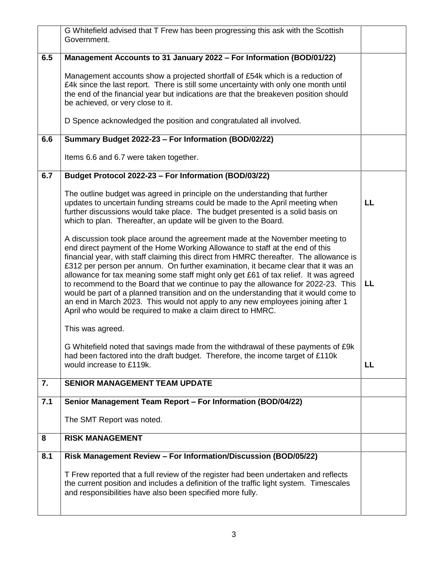|     | G Whitefield advised that T Frew has been progressing this ask with the Scottish                                                                                                                                                                                                                                                                                                                                                                                                                                                                                                                                                                                                                                                                                   |    |
|-----|--------------------------------------------------------------------------------------------------------------------------------------------------------------------------------------------------------------------------------------------------------------------------------------------------------------------------------------------------------------------------------------------------------------------------------------------------------------------------------------------------------------------------------------------------------------------------------------------------------------------------------------------------------------------------------------------------------------------------------------------------------------------|----|
|     | Government.                                                                                                                                                                                                                                                                                                                                                                                                                                                                                                                                                                                                                                                                                                                                                        |    |
| 6.5 | Management Accounts to 31 January 2022 - For Information (BOD/01/22)                                                                                                                                                                                                                                                                                                                                                                                                                                                                                                                                                                                                                                                                                               |    |
|     | Management accounts show a projected shortfall of £54k which is a reduction of<br>£4k since the last report. There is still some uncertainty with only one month until<br>the end of the financial year but indications are that the breakeven position should<br>be achieved, or very close to it.                                                                                                                                                                                                                                                                                                                                                                                                                                                                |    |
|     | D Spence acknowledged the position and congratulated all involved.                                                                                                                                                                                                                                                                                                                                                                                                                                                                                                                                                                                                                                                                                                 |    |
| 6.6 | Summary Budget 2022-23 - For Information (BOD/02/22)                                                                                                                                                                                                                                                                                                                                                                                                                                                                                                                                                                                                                                                                                                               |    |
|     | Items 6.6 and 6.7 were taken together.                                                                                                                                                                                                                                                                                                                                                                                                                                                                                                                                                                                                                                                                                                                             |    |
| 6.7 | Budget Protocol 2022-23 - For Information (BOD/03/22)                                                                                                                                                                                                                                                                                                                                                                                                                                                                                                                                                                                                                                                                                                              |    |
|     | The outline budget was agreed in principle on the understanding that further<br>updates to uncertain funding streams could be made to the April meeting when<br>further discussions would take place. The budget presented is a solid basis on<br>which to plan. Thereafter, an update will be given to the Board.                                                                                                                                                                                                                                                                                                                                                                                                                                                 | LL |
|     | A discussion took place around the agreement made at the November meeting to<br>end direct payment of the Home Working Allowance to staff at the end of this<br>financial year, with staff claiming this direct from HMRC thereafter. The allowance is<br>£312 per person per annum. On further examination, it became clear that it was an<br>allowance for tax meaning some staff might only get £61 of tax relief. It was agreed<br>to recommend to the Board that we continue to pay the allowance for 2022-23. This<br>would be part of a planned transition and on the understanding that it would come to<br>an end in March 2023. This would not apply to any new employees joining after 1<br>April who would be required to make a claim direct to HMRC. | LL |
|     | This was agreed.                                                                                                                                                                                                                                                                                                                                                                                                                                                                                                                                                                                                                                                                                                                                                   |    |
|     | G Whitefield noted that savings made from the withdrawal of these payments of £9k<br>had been factored into the draft budget. Therefore, the income target of £110k<br>would increase to £119k.                                                                                                                                                                                                                                                                                                                                                                                                                                                                                                                                                                    | LL |
| 7.  | <b>SENIOR MANAGEMENT TEAM UPDATE</b>                                                                                                                                                                                                                                                                                                                                                                                                                                                                                                                                                                                                                                                                                                                               |    |
| 7.1 | Senior Management Team Report - For Information (BOD/04/22)                                                                                                                                                                                                                                                                                                                                                                                                                                                                                                                                                                                                                                                                                                        |    |
|     | The SMT Report was noted.                                                                                                                                                                                                                                                                                                                                                                                                                                                                                                                                                                                                                                                                                                                                          |    |
| 8   | <b>RISK MANAGEMENT</b>                                                                                                                                                                                                                                                                                                                                                                                                                                                                                                                                                                                                                                                                                                                                             |    |
| 8.1 | Risk Management Review - For Information/Discussion (BOD/05/22)                                                                                                                                                                                                                                                                                                                                                                                                                                                                                                                                                                                                                                                                                                    |    |
|     | T Frew reported that a full review of the register had been undertaken and reflects<br>the current position and includes a definition of the traffic light system. Timescales<br>and responsibilities have also been specified more fully.                                                                                                                                                                                                                                                                                                                                                                                                                                                                                                                         |    |
|     |                                                                                                                                                                                                                                                                                                                                                                                                                                                                                                                                                                                                                                                                                                                                                                    |    |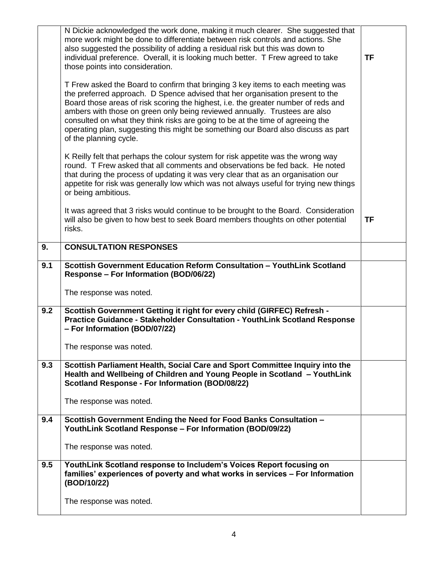|     | N Dickie acknowledged the work done, making it much clearer. She suggested that<br>more work might be done to differentiate between risk controls and actions. She<br>also suggested the possibility of adding a residual risk but this was down to<br>individual preference. Overall, it is looking much better. T Frew agreed to take<br>those points into consideration.                                                                                                                                                           | <b>TF</b> |
|-----|---------------------------------------------------------------------------------------------------------------------------------------------------------------------------------------------------------------------------------------------------------------------------------------------------------------------------------------------------------------------------------------------------------------------------------------------------------------------------------------------------------------------------------------|-----------|
|     | T Frew asked the Board to confirm that bringing 3 key items to each meeting was<br>the preferred approach. D Spence advised that her organisation present to the<br>Board those areas of risk scoring the highest, i.e. the greater number of reds and<br>ambers with those on green only being reviewed annually. Trustees are also<br>consulted on what they think risks are going to be at the time of agreeing the<br>operating plan, suggesting this might be something our Board also discuss as part<br>of the planning cycle. |           |
|     | K Reilly felt that perhaps the colour system for risk appetite was the wrong way<br>round. T Frew asked that all comments and observations be fed back. He noted<br>that during the process of updating it was very clear that as an organisation our<br>appetite for risk was generally low which was not always useful for trying new things<br>or being ambitious.                                                                                                                                                                 |           |
|     | It was agreed that 3 risks would continue to be brought to the Board. Consideration<br>will also be given to how best to seek Board members thoughts on other potential<br>risks.                                                                                                                                                                                                                                                                                                                                                     | <b>TF</b> |
| 9.  | <b>CONSULTATION RESPONSES</b>                                                                                                                                                                                                                                                                                                                                                                                                                                                                                                         |           |
| 9.1 | Scottish Government Education Reform Consultation - YouthLink Scotland<br><b>Response - For Information (BOD/06/22)</b>                                                                                                                                                                                                                                                                                                                                                                                                               |           |
|     | The response was noted.                                                                                                                                                                                                                                                                                                                                                                                                                                                                                                               |           |
| 9.2 | Scottish Government Getting it right for every child (GIRFEC) Refresh -<br>Practice Guidance - Stakeholder Consultation - YouthLink Scotland Response<br>- For Information (BOD/07/22)                                                                                                                                                                                                                                                                                                                                                |           |
|     | The response was noted.                                                                                                                                                                                                                                                                                                                                                                                                                                                                                                               |           |
|     |                                                                                                                                                                                                                                                                                                                                                                                                                                                                                                                                       |           |
| 9.3 | Scottish Parliament Health, Social Care and Sport Committee Inquiry into the<br>Health and Wellbeing of Children and Young People in Scotland - YouthLink<br>Scotland Response - For Information (BOD/08/22)                                                                                                                                                                                                                                                                                                                          |           |
|     | The response was noted.                                                                                                                                                                                                                                                                                                                                                                                                                                                                                                               |           |
| 9.4 | Scottish Government Ending the Need for Food Banks Consultation -<br>YouthLink Scotland Response - For Information (BOD/09/22)                                                                                                                                                                                                                                                                                                                                                                                                        |           |
|     | The response was noted.                                                                                                                                                                                                                                                                                                                                                                                                                                                                                                               |           |
| 9.5 | YouthLink Scotland response to Includem's Voices Report focusing on<br>families' experiences of poverty and what works in services - For Information<br>(BOD/10/22)                                                                                                                                                                                                                                                                                                                                                                   |           |